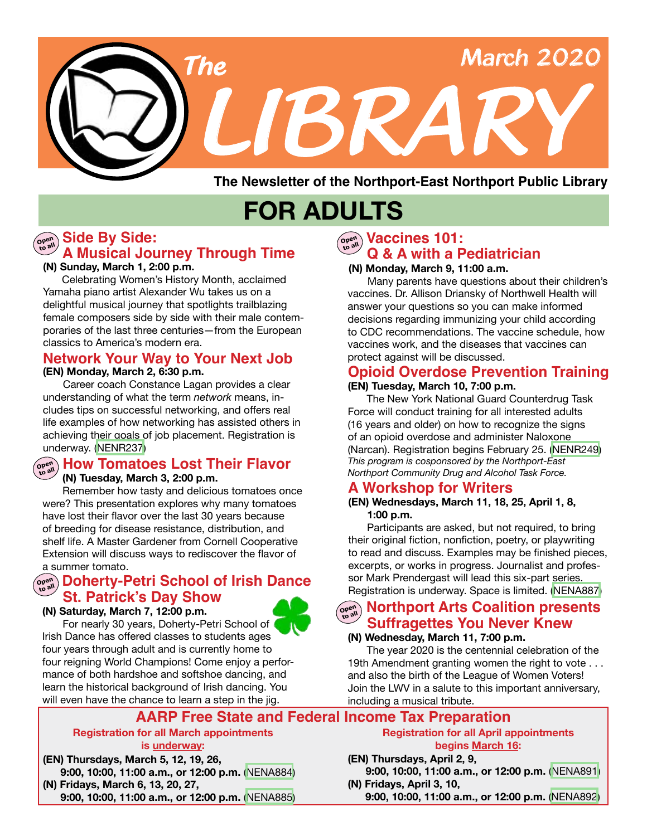

**The Newsletter of the Northport-East Northport Public Library**

# **FOR ADULTS**

### **Side By Side: Open to all A Musical Journey Through Time**

#### **(N) Sunday, March 1, 2:00 p.m.**

Celebrating Women's History Month, acclaimed Yamaha piano artist Alexander Wu takes us on a delightful musical journey that spotlights trailblazing female composers side by side with their male contemporaries of the last three centuries—from the European classics to America's modern era.

#### **(EN) Monday, March 2, 6:30 p.m. Network Your Way to Your Next Job**

Career coach Constance Lagan provides a clear understanding of what the term *network* means, includes tips on successful networking, and offers real life examples of how networking has assisted others in achieving their goals of job placement. Registration is underway. ([NENR237\)](https://search.livebrary.com/record=g1097537~S43)

### **How Tomatoes Lost Their Flavor Open to all**

#### **(N) Tuesday, March 3, 2:00 p.m.**

Remember how tasty and delicious tomatoes once were? This presentation explores why many tomatoes have lost their flavor over the last 30 years because of breeding for disease resistance, distribution, and shelf life. A Master Gardener from Cornell Cooperative Extension will discuss ways to rediscover the flavor of a summer tomato.

### @en Doherty-Petri School of Irish Dance **St. Patrick's Day Show**

For nearly 30 years, Doherty-Petri School of Irish Dance has offered classes to students ages four years through adult and is currently home to four reigning World Champions! Come enjoy a performance of both hardshoe and softshoe dancing, and learn the historical background of Irish dancing. You will even have the chance to learn a step in the jig.

#### **(N) Saturday, March 7, 12:00 p.m.**



### **Open Vaccines 101: Q & A with a Pediatrician**

#### **(N) Monday, March 9, 11:00 a.m.**

Many parents have questions about their children's vaccines. Dr. Allison Driansky of Northwell Health will answer your questions so you can make informed decisions regarding immunizing your child according to CDC recommendations. The vaccine schedule, how vaccines work, and the diseases that vaccines can protect against will be discussed.

### **Opioid Overdose Prevention Training**

#### **(EN) Tuesday, March 10, 7:00 p.m.**

The New York National Guard Counterdrug Task Force will conduct training for all interested adults (16 years and older) on how to recognize the signs of an opioid overdose and administer Naloxone (Narcan). Registration begins February 25. ([NENR249\)](https://search.livebrary.com/record=g1098384~S43) *This program is cosponsored by the Northport-East Northport Community Drug and Alcohol Task Force.*

### **A Workshop for Writers**

#### **(EN) Wednesdays, March 11, 18, 25, April 1, 8, 1:00 p.m.**

Participants are asked, but not required, to bring their original fiction, nonfiction, poetry, or playwriting to read and discuss. Examples may be finished pieces, excerpts, or works in progress. Journalist and professor Mark Prendergast will lead this six-part series. Registration is underway. Space is limited. ([NENA887](https://search.livebrary.com/record=g1097491~S43))

#### **Northport Arts Coalition presents Open to all Suffragettes You Never Knew**

#### **(N) Wednesday, March 11, 7:00 p.m.**

The year 2020 is the centennial celebration of the 19th Amendment granting women the right to vote . . . and also the birth of the League of Women Voters! Join the LWV in a salute to this important anniversary, including a musical tribute.

### **AARP Free State and Federal Income Tax Preparation**

#### **Registration for all March appointments is underway:**

**(EN) Thursdays, March 5, 12, 19, 26, 9:00, 10:00, 11:00 a.m., or 12:00 p.m.** [\(NENA884\)](https://search.livebrary.com/record=g1097088~S43)

**(N) Fridays, March 6, 13, 20, 27,**

#### **9:00, 10:00, 11:00 a.m., or 12:00 p.m.** [\(NENA885\)](https://search.livebrary.com/record=g1097107~S43)

**Registration for all April appointments begins March 16:**

#### **(EN) Thursdays, April 2, 9, 9:00, 10:00, 11:00 a.m., or 12:00 p.m.** [\(NENA891\)](https://search.livebrary.com/record=g1097139~S43) **(N) Fridays, April 3, 10,**

 **9:00, 10:00, 11:00 a.m., or 12:00 p.m.** ([NENA892\)](https://search.livebrary.com/record=g1097331~S43)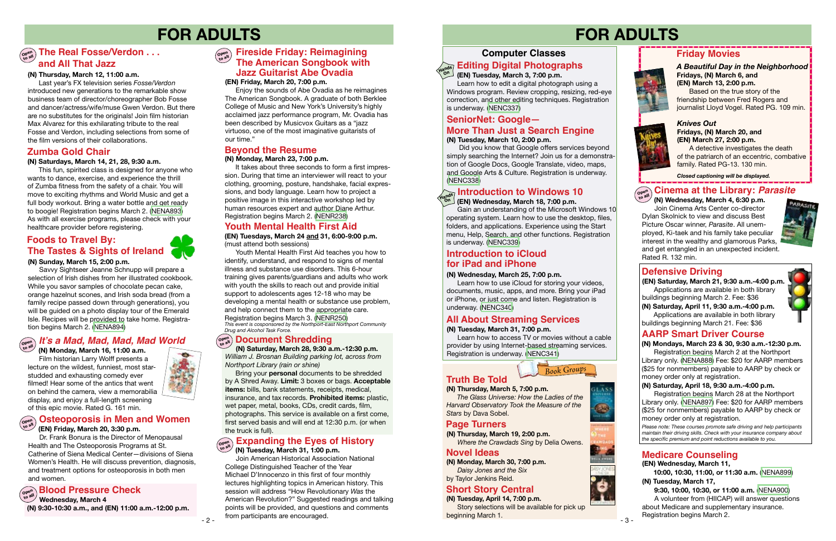- 3 -

### **Computer Classes**

### **Editing Digital Photographs**

# **FOR ADULTS FOR ADULTS**

- 2 -

### **Defensive Driving**

*Please note: These courses promote safe driving and help participants maintain their driving skills. Check with your insurance company about the specific premium and point reductions available to you.*

### **AARP Smart Driver Course**

**(EN) Saturday, March 21, 9:30 a.m.-4:00 p.m.** Applications are available in both library buildings beginning March 2. Fee: \$36

**(N) Mondays, March 23 & 30, 9:30 a.m.-12:30 p.m.**

Registration begins March 2 at the Northport Library only. [\(NENA888\)](https://search.livebrary.com/record=g1097597~S43) Fee: \$20 for AARP members (\$25 for nonmembers) payable to AARP by check or money order only at registration.

### **SeniorNet: Google—**

#### **(N) Saturdays, March 14, 21, 28, 9:30 a.m.**

 This fun, spirited class is designed for anyone who wants to dance, exercise, and experience the thrill of Zumba fitness from the safety of a chair. You will move to exciting rhythms and World Music and get a full body workout. Bring a water bottle and get ready to boogie! Registration begins March 2. ([NENA893](https://search.livebrary.com/record=g1097961~S43)) As with all exercise programs, please check with your healthcare provider before registering.

### **Zumba Gold Chair**

#### *Knives Out* **Fridays, (N) March 20, and (EN) March 27, 2:00 p.m.**

A detective investigates the death of the patriarch of an eccentric, combative family. Rated PG-13. 130 min.

### **Friday Movies**

*A Beautiful Day in the Neighborhood* **Fridays, (N) March 6, and (EN) March 13, 2:00 p.m.** 

Based on the true story of the friendship between Fred Rogers and journalist Lloyd Vogel. Rated PG. 109 min.

*Closed captioning will be displayed.*

**On**

#### **(N) Sunday, March 15, 2:00 p.m.**

Savvy Sightseer Jeanne Schnupp will prepare a selection of Irish dishes from her illustrated cookbook. While you savor samples of chocolate pecan cake, orange hazelnut scones, and Irish soda bread (from a family recipe passed down through generations), you will be guided on a photo display tour of the Emerald Isle. Recipes will be provided to take home. Registration begins March 2. ([NENA894](https://search.livebrary.com/record=g1098010~S43))

#### **Hands Introduction to Windows 10**

#### **(N) Tuesday, March 10, 2:00 p.m.**

Did you know that Google offers services beyond simply searching the Internet? Join us for a demonstration of Google Docs, Google Translate, video, maps, and Google Arts & Culture. Registration is underway. ([NENC338](https://search.livebrary.com/record=g1079562~S43))

> Registration begins March 28 at the Northport Library only. [\(NENA897\)](https://search.livebrary.com/record=g1097982~S43) Fee: \$20 for AARP members (\$25 for nonmembers) payable to AARP by check or money order only at registration.

### $\left(\begin{smallmatrix} \mathsf{open} \ \mathsf{open} \end{smallmatrix}\right)$  The Real Fosse/Verdon  $\dots$ **and All That Jazz**

#### **(EN) Wednesday, March 18, 7:00 p.m.**

 Gain an understanding of the Microsoft Windows 10 operating system. Learn how to use the desktop, files, folders, and applications. Experience using the Start menu, Help, Search, and other functions. Registration is underway. ([NENC339](https://search.livebrary.com/record=g1066488~S43))

**(EN) Wednesday, March 11,**

 **10:00, 10:30, 11:00, or 11:30 a.m.** ([NENA899\)](https://search.livebrary.com/record=g1098034~S43) **(N) Tuesday, March 17,**

 **9:30, 10:00, 10:30, or 11:00 a.m.** [\(NENA900](https://search.livebrary.com/record=g1098036~S43)) A volunteer from (HIICAP) will answer questions about Medicare and supplementary insurance. Registration begins March 2.

It takes about three seconds to form a first impression. During that time an interviewer will react to your clothing, grooming, posture, handshake, facial expressions, and body language. Learn how to project a positive image in this interactive workshop led by human resources expert and author Diane Arthur. Registration begins March 2. ([NENR238\)](https://search.livebrary.com/record=g1097539~S43)

### **Medicare Counseling**

#### **(N) Wednesday, March 25, 7:00 p.m.**

#### **Cinema at the Library:** *Parasite* **Open**

 Learn how to use iCloud for storing your videos, documents, music, apps, and more. Bring your iPad or iPhone, or just come and listen. Registration is underway. [\(NENC340\)](https://search.livebrary.com/record=g1078129~S43)

### **Foods to Travel By: The Tastes & Sights of Ireland**



#### **(N) Thursday, March 12, 11:00 a.m.**

 **(N) Wednesday, March 4, 6:30 p.m.** Join Cinema Arts Center co-director Dylan Skolnick to view and discuss Best Picture Oscar winner, *Parasite*. All unemployed, Ki-taek and his family take peculiar interest in the wealthy and glamorous Parks, and get entangled in an unexpected incident. Rated R. 132 min. **to all**



 Last year's FX television series *Fosse/Verdon* introduced new generations to the remarkable show business team of director/choreographer Bob Fosse and dancer/actress/wife/muse Gwen Verdon. But there are no substitutes for the originals! Join film historian Max Alvarez for this exhilarating tribute to the real Fosse and Verdon, including selections from some of the film versions of their collaborations.

#### **(EN) Friday, March 20, 7:00 p.m.**

 Enjoy the sounds of Abe Ovadia as he reimagines The American Songbook. A graduate of both Berklee College of Music and New York's University's highly acclaimed jazz performance program, Mr. Ovadia has been described by Musicvox Guitars as a "jazz virtuoso, one of the most imaginative guitarists of our time."

### **Truth Be Told**

### **Page Turners**

**(N) Thursday, March 19, 2:00 p.m.**  *Where the Crawdads Sing* by Delia Owens.

#### **(N) Thursday, March 5, 7:00 p.m.**

 *The Glass Universe: How the Ladies of the Harvard Observatory Took the Measure of the Stars* by Dava Sobel.

**(N) Monday, March 30, 7:00 p.m.**  *Daisy Jones and the Six* by Taylor Jenkins Reid.

#### **Novel Ideas**

### **Short Story Central**

**(N) Tuesday, April 14, 7:00 p.m.** Story selections will be available for pick up beginning March 1.



#### **(N) Saturday, April 18, 9:30 a.m.-4:00 p.m.**

#### **Fireside Friday: Reimagining Open to all The American Songbook with Jazz Guitarist Abe Ovadia**

#### **Open to all (EN) Friday, March 20, 3:30 p.m. Osteoporosis in Men and Women**

 Dr. Frank Bonura is the Director of Menopausal Health and The Osteoporosis Programs at St. Catherine of Siena Medical Center—divisions of Siena Women's Health. He will discuss prevention, diagnosis, and treatment options for osteoporosis in both men and women.

 **(N) Monday, March 16, 11:00 a.m.** Film historian Larry Wolff presents a lecture on the wildest, funniest, most starstudded and exhausting comedy ever filmed! Hear some of the antics that went on behind the camera, view a memorabilia display, and enjoy a full-length screening of this epic movie. Rated G. 161 min.



## **Open to all It's a Mad, Mad, Mad, Mad World**

### **Beyond the Resume**

#### **(N) Monday, March 23, 7:00 p.m.**

### **Introduction to iCloud for iPad and iPhone**

 **(N) Saturday, March 28, 9:30 a.m.-12:30 p.m.** *William J. Brosnan Building parking lot, across from Northport Library (rain or shine)*

**Britain's Modern Monarchy** by A Shred Away. **Limit:** 3 boxes or bags. **Acceptable** Bring your **personal** documents to be shredded **items:** bills, bank statements, receipts, medical, insurance, and tax records. **Prohibited items:** plastic, wet paper, metal, books, CDs, credit cards, film, photographs. This service is available on a first come, first served basis and will end at 12:30 p.m. (or when the truck is full).

**Open to all Wednesday, March 4 (N) 9:30-10:30 a.m., and (EN) 11:00 a.m.-12:00 p.m.**

#### **Open to all (N) Tuesday, March 31, 1:00 p.m. Expanding the Eyes of History**

 Join American Historical Association National College Distinguished Teacher of the Year Michael D'Innocenzo in this first of four monthly lectures highlighting topics in American history. This session will address "How Revolutionary *Was* the American Revolution?" Suggested readings and talking points will be provided, and questions and comments from participants are encouraged.

#### **(EN) Tuesday, March 3, 7:00 p.m.**

Learn how to edit a digital photograph using a Windows program. Review cropping, resizing, red-eye correction, and other editing techniques. Registration is underway. [\(NENC337\)](https://search.livebrary.com/record=g1090159~S43)

**On**

### **More Than Just a Search Engine**

**(EN) Tuesdays, March 24 and 31, 6:00-9:00 p.m.** (must attend both sessions)

### **Youth Mental Health First Aid**

### **All About Streaming Services**

Youth Mental Health First Aid teaches you how to identify, understand, and respond to signs of mental illness and substance use disorders. This 6-hour training gives parents/guardians and adults who work with youth the skills to reach out and provide initial support to adolescents ages 12-18 who may be developing a mental health or substance use problem, and help connect them to the appropriate care. Registration begins March 3. ([NENR250\)](https://search.livebrary.com/record=g1098408~S43) *This event is cosponsored by the Northport-East Northport Community Drug and Alcohol Task Force.*

### $\left(\begin{smallmatrix} \mathsf{O}\mathsf{P}^{\mathsf{on}} \\ \mathsf{O}\mathsf{P}^{\mathsf{on}} \end{smallmatrix}\right)$  Document Shredding

#### **(N) Tuesday, March 31, 7:00 p.m.**

 Learn how to access TV or movies without a cable provider by using Internet-based streaming services. Registration is underway. ([NENC341](https://search.livebrary.com/record=g1091715~S43))

*Book Groups*



**(N) Saturday, April 11, 9:30 a.m.-4:00 p.m.** Applications are available in both library buildings beginning March 21. Fee: \$36

### **Blood Pressure Check**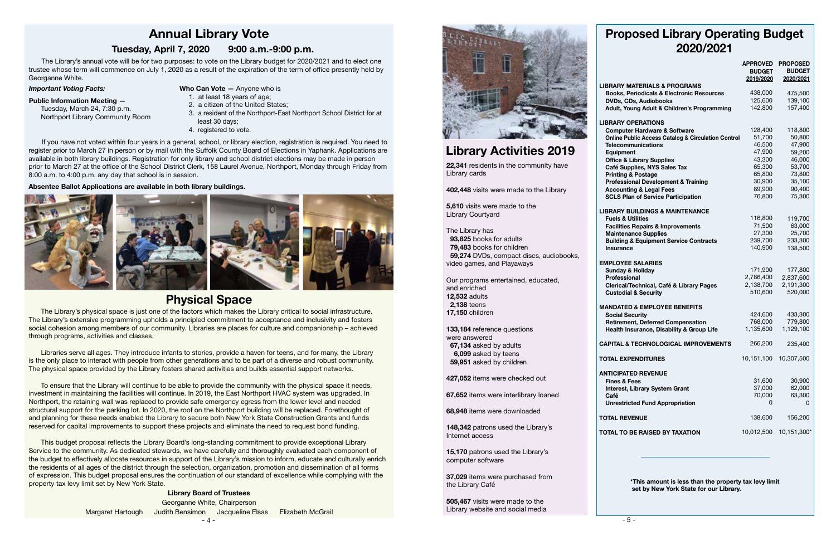### **Physical Space**

social cohesion among members of our community. Libraries are places for culture and companionship – achieved **Language**  The Library's physical space is just one of the factors which makes the Library critical to social infrastructure. The Library's extensive programming upholds a principled commitment to acceptance and inclusivity and fosters through programs, activities and classes.

Libraries serve all ages. They introduce infants to stories, provide a haven for teens, and for many, the Library is the only place to interact with people from other generations and to be part of a diverse and robust community. The physical space provided by the Library fosters shared activities and builds essential support networks.

To ensure that the Library will continue to be able to provide the community with the physical space it needs, investment in maintaining the facilities will continue. In 2019, the East Northport HVAC system was upgraded. In Northport, the retaining wall was replaced to provide safe emergency egress from the lower level and needed structural support for the parking lot. In 2020, the roof on the Northport building will be replaced. Forethought of and planning for these needs enabled the Library to secure both New York State Construction Grants and funds reserved for capital improvements to support these projects and eliminate the need to request bond funding.

This budget proposal reflects the Library Board's long-standing commitment to provide exceptional Library Service to the community. As dedicated stewards, we have carefully and thoroughly evaluated each component of the budget to effectively allocate resources in support of the Library's mission to inform, educate and culturally enrich the residents of all ages of the district through the selection, organization, promotion and dissemination of all forms of expression. This budget proposal ensures the continuation of our standard of excellence while complying with the property tax levy limit set by New York State.

 The Library's annual vote will be for two purposes: to vote on the Library budget for 2020/2021 and to elect one trustee whose term will commence on July 1, 2020 as a result of the expiration of the term of office presently held by Georganne White.

*Important Voting Facts:*

### **Public Information Meeting —**

 Tuesday, March 24, 7:30 p.m. Northport Library Community Room

 If you have not voted within four years in a general, school, or library election, registration is required. You need to register prior to March 27 in person or by mail with the Suffolk County Board of Elections in Yaphank. Applications are available in both library buildings. Registration for only library and school district elections may be made in person prior to March 27 at the office of the School District Clerk, 158 Laurel Avenue, Northport, Monday through Friday from 8:00 a.m. to 4:00 p.m. any day that school is in session.

> - 4 - Margaret Hartough Judith Bensimon Jacqueline Elsas Elizabeth McGrail **Library Board of Trustees** Georganne White, Chairperson



#### **Absentee Ballot Applications are available in both library buildings.**



## **Annual Library Vote**

### **Tuesday, April 7, 2020 9:00 a.m.-9:00 p.m.**

- **Who Can Vote —** Anyone who is
- 1. at least 18 years of age;
- 2. a citizen of the United States;
- 3. a resident of the Northport-East Northport School District for at least 30 days;
- 4. registered to vote.

# **Library Activities 2019**

### **Proposed Library Operating Budget 2020/2021**

|                                                                                  | <b>APPROVED</b><br><b>BUDGET</b><br>2019/2020 | <b>PROPOSED</b><br><b>BUDGET</b><br>2020/2021 |
|----------------------------------------------------------------------------------|-----------------------------------------------|-----------------------------------------------|
| <b>LIBRARY MATERIALS &amp; PROGRAMS</b>                                          |                                               |                                               |
| <b>Books, Periodicals &amp; Electronic Resources</b>                             | 438,000                                       | 475,500                                       |
| DVDs, CDs, Audiobooks                                                            | 125,600                                       | 139,100                                       |
| Adult, Young Adult & Children's Programming                                      | 142,800                                       | 157,400                                       |
| <b>LIBRARY OPERATIONS</b>                                                        |                                               |                                               |
| <b>Computer Hardware &amp; Software</b>                                          | 128,400                                       | 118,800                                       |
| <b>Online Public Access Catalog &amp; Circulation Control</b>                    | 51,700                                        | 50,800                                        |
| <b>Telecommunications</b>                                                        | 46,500                                        | 47,900                                        |
| Equipment                                                                        | 47,900                                        | 59,200                                        |
| <b>Office &amp; Library Supplies</b>                                             | 43,300                                        | 46,000                                        |
| Café Supplies, NYS Sales Tax                                                     | 65,300                                        | 53,700                                        |
| <b>Printing &amp; Postage</b>                                                    | 65,800                                        | 73,800                                        |
| <b>Professional Development &amp; Training</b>                                   | 30,900                                        | 35,100                                        |
| <b>Accounting &amp; Legal Fees</b>                                               | 89,900                                        | 90,400                                        |
| <b>SCLS Plan of Service Participation</b>                                        | 76,800                                        | 75,300                                        |
| <b>LIBRARY BUILDINGS &amp; MAINTENANCE</b>                                       | 116,800                                       |                                               |
| <b>Fuels &amp; Utilities</b>                                                     | 71,500                                        | 119,700<br>63,000                             |
| <b>Facilities Repairs &amp; Improvements</b>                                     | 27,300                                        | 25,700                                        |
| <b>Maintenance Supplies</b><br><b>Building &amp; Equipment Service Contracts</b> | 239,700                                       | 233,300                                       |
| <b>Insurance</b>                                                                 | 140,900                                       | 138,500                                       |
| <b>EMPLOYEE SALARIES</b>                                                         |                                               |                                               |
| <b>Sunday &amp; Holiday</b>                                                      | 171,900                                       | 177,800                                       |
| <b>Professional</b>                                                              | 2,786,400                                     | 2,837,600                                     |
| Clerical/Technical, Café & Library Pages                                         | 2,138,700                                     | 2,191,300                                     |
| <b>Custodial &amp; Security</b>                                                  | 510,600                                       | 520,000                                       |
| <b>MANDATED &amp; EMPLOYEE BENEFITS</b>                                          |                                               |                                               |
| <b>Social Security</b>                                                           | 424,600                                       | 433,300                                       |
| <b>Retirement, Deferred Compensation</b>                                         | 768,000                                       | 779,800                                       |
| Health Insurance, Disability & Group Life                                        | 1,135,600                                     | 1,129,100                                     |
| <b>CAPITAL &amp; TECHNOLOGICAL IMPROVEMENTS</b>                                  | 266,200                                       | 235,400                                       |
| <b>TOTAL EXPENDITURES</b>                                                        | 10,151,100                                    | 10,307,500                                    |
| <b>ANTICIPATED REVENUE</b>                                                       |                                               |                                               |
| <b>Fines &amp; Fees</b>                                                          | 31,600                                        | 30,900                                        |
| <b>Interest, Library System Grant</b>                                            | 37,000                                        | 62,000                                        |
| Café                                                                             | 70,000                                        | 63,300                                        |
| <b>Unrestricted Fund Appropriation</b>                                           | 0                                             | 0                                             |
| <b>TOTAL REVENUE</b>                                                             | 138,600                                       | 156,200                                       |
| <b>TOTAL TO BE RAISED BY TAXATION</b>                                            | 10,012,500                                    | 10,151,300*                                   |
|                                                                                  |                                               |                                               |

 **\*This amount is less than the property tax levy limit set by New York State for our Library.**

**22,341** residents in the community have Library cards

**402,448** visits were made to the Library

**5,610** visits were made to the Library Courtyard

The Library has  **93,825** books for adults  **79,483** books for children  **59,274** DVDs, compact discs, audiobooks, video games, and Playaways

Our programs entertained, educated, and enriched **12,532** adults  **2,138** teens **17,150** children

**133,184** reference questions were answered  **67,134** asked by adults  **6,099** asked by teens  **59,951** asked by children

**427,052** items were checked out

**67,652** items were interlibrary loaned

**68,948** items were downloaded

**148,342** patrons used the Library's Internet access

**15,170** patrons used the Library's computer software

**37,029** items were purchased from the Library Café

**505,467** visits were made to the Library website and social media

#### **EMPL**

#### **MAND**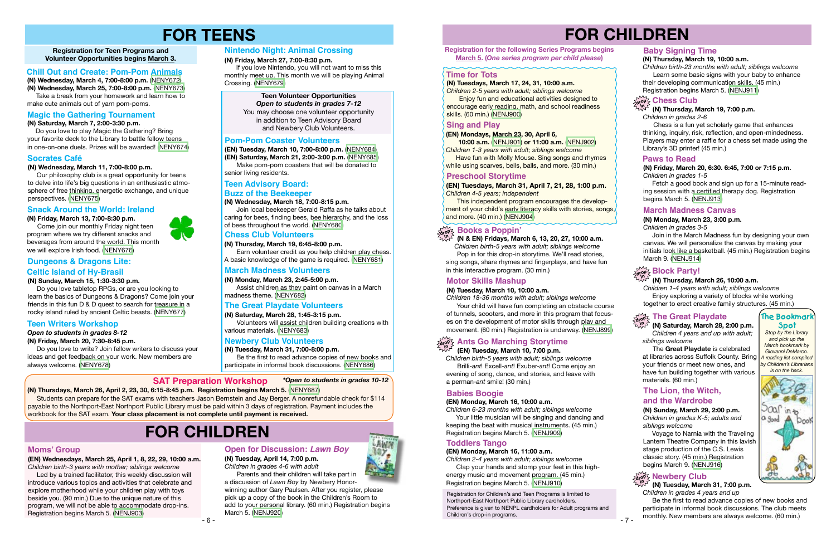# **FOR CHILDREN**





#### **(N) Friday, March 20, 7:30-8:45 p.m.**

 Do you love to write? Join fellow writers to discuss your ideas and get feedback on your work. New members are always welcome. ([NENY678](https://search.livebrary.com/record=g1097949~S43))

**Registration for Teen Programs and Volunteer Opportunities begins March 3.**

> Be the first to read advance copies of new books and participate in informal book discussions. The club meets monthly. New members are always welcome. (60 min.)

# **FOR TEENS**

#### **Teen Writers Workshop**

**(N) Friday, March 13, 7:00-8:30 p.m.**

 Come join our monthly Friday night teen program where we try different snacks and beverages from around the world. This month we will explore Irish food. [\(NENY676\)](https://search.livebrary.com/record=g1097752~S43)

This independent program encourages the development of your child's early literacy skills with stories, songs, and more. (40 min.) [\(NENJ904](https://search.livebrary.com/record=g1095299~S43))

#### **Snack Around the World: Ireland**

#### **Teen Volunteer Opportunities**

*Open to students in grades 7-12* You may choose one volunteer opportunity in addition to Teen Advisory Board and Newbery Club Volunteers.

#### **(N) Wednesday, March 11, 7:00-8:00 p.m.**

 Our philosophy club is a great opportunity for teens to delve into life's big questions in an enthusiastic atmosphere of free thinking, energetic exchange, and unique perspectives. ([NENY675](https://search.livebrary.com/record=g1097749~S43))

#### **Socrates Café**

**(EN) Tuesdays, March 31, April 7, 21, 28, 1:00 p.m.**  *Children 4-5 years; independent*

#### **(N) Tuesday, March 31, 7:00 p.m.** *Children in grades 4 years and up*  **in**

#### **Preschool Storytime**

#### **(N) Thursday, March 26, 10:00 a.m.**

*Children 1-4 years with adult; siblings welcome* Enjoy exploring a variety of blocks while working together to erect creative family structures. (45 min.)

#### **(N) Friday, March 20, 6:30. 6:45, 7:00 or 7:15 p.m.**  *Children in grades 1-5*

 Fetch a good book and sign up for a 15-minute reading session with a certified therapy dog. Registration begins March 5. [\(NENJ913\)](https://search.livebrary.com/record=g1095729~S43)

#### **Paws to Read**

#### **Teen Advisory Board:**

#### **(N) Wednesday, March 18, 7:00-8:15 p.m.**

 Join local beekeeper Gerald Raffa as he talks about caring for bees, finding bees, bee hierarchy, and the loss of bees throughout the world. [\(NENY680\)](https://search.livebrary.com/record=g1097771~S43)

#### **Buzz of the Beekeeper**

#### **Newbery Club Volunteers**

**(N) Tuesday, March 31, 7:00-8:00 p.m.** Be the first to read advance copies of new books and participate in informal book discussions. [\(NENY686\)](https://search.livebrary.com/record=g1097787~S43)

If you love Nintendo, you will not want to miss this monthly meet up. This month we will be playing Animal Crossing. [\(NENY679\)](https://search.livebrary.com/record=g1097770~S43)

#### **March Madness Volunteers**

**(N) Monday, March 23, 2:45-5:00 p.m.** Assist children as they paint on canvas in a March madness theme. ([NENY682](https://search.livebrary.com/record=g1097781~S43))

**(N) Thursday, March 19, 6:45-8:00 p.m.** 

 Earn volunteer credit as you help children play chess. A basic knowledge of the game is required. [\(NENY681\)](https://search.livebrary.com/record=g1097772~S43)

> Your child will have fun completing an obstacle course of tunnels, scooters, and more in this program that focuses on the development of motor skills through play and movement. (60 min.) Registration is underway. [\(NENJ899\)](https://search.livebrary.com/record=g1096197~S43)

#### **Chess Club Volunteers**

#### **(N) Monday, March 23, 3:00 p.m.**

*Children in grades 3-5*

 Join in the March Madness fun by designing your own canvas. We will personalize the canvas by making your initials look like a basketball. (45 min.) Registration begins March 9. [\(NENJ914\)](https://search.livebrary.com/record=g1096341~S43)

### **Block Party!**

#### **March Madness Canvas**

*Stop by the Library and pick up the March bookmark by Giovanni DeMarco. A reading list compiled by Children's Librarians is on the back.*





#### **Moms' Group**

**(EN) Wednesdays, March 25, April 1, 8, 22, 29, 10:00 a.m.** *Children birth-3 years with mother; siblings welcome*

 Led by a trained facilitator, this weekly discussion will introduce various topics and activities that celebrate and explore motherhood while your children play with toys beside you. (90 min.) Due to the unique nature of this program, we will not be able to accommodate drop-ins. Registration begins March 5. ([NENJ903](https://search.livebrary.com/record=g1096104~S43))

**Have fun with Molly Mouse. Sing songs and rhymes** while using scarves, bells, balls, and more. (30 min.)

**(N) Wednesday, March 4, 7:00-8:00 p.m.** ([NENY672](https://search.livebrary.com/record=g1097569~S43))

**(N) Wednesday, March 25, 7:00-8:00 p.m.** [\(NENY673\)](https://search.livebrary.com/record=g1097570~S43) Take a break from your homework and learn how to make cute animals out of yarn pom-poms.

#### **Chill Out and Create: Pom-Pom Animals**

#### **(N) Saturday, March 7, 2:00-3:30 p.m.**

 Do you love to play Magic the Gathering? Bring your favorite deck to the Library to battle fellow teens in one-on-one duels. Prizes will be awarded! [\(NENY674\)](https://search.livebrary.com/record=g1097575~S43)

#### **SAT Preparation Workshop** *\*Open to students in grades 10-12*

### **Magic the Gathering Tournament**

#### **(N) Sunday, March 15, 1:30-3:30 p.m.**

 Do you love tabletop RPGs, or are you looking to learn the basics of Dungeons & Dragons? Come join your friends in this fun D & D quest to search for treasure in a rocky island ruled by ancient Celtic beasts. ([NENY677](https://search.livebrary.com/record=g1097768~S43))

### **Dungeons & Dragons Lite:**

### **Celtic Island of Hy-Brasil**

#### **Nintendo Night: Animal Crossing**

#### **(N) Friday, March 27, 7:00-8:30 p.m.**

Parents and their children will take part in a discussion of *Lawn Boy* by Newbery Honor-

#### **The Great Playdate Volunteers**

#### **(N) Saturday, March 28, 1:45-3:15 p.m.**

 Volunteers will assist children building creations with various materials. [\(NENY683\)](https://search.livebrary.com/record=g1097782~S43)

**(EN) Tuesday, March 10, 7:00-8:00 p.m.** ([NENY684](https://search.livebrary.com/record=g1097783~S43)) **(EN) Saturday, March 21, 2:00-3:00 p.m.** ([NENY685](https://search.livebrary.com/record=g1097784~S43))

 Make pom-pom coasters that will be donated to senior living residents.

#### **Pom-Pom Coaster Volunteers**

 **(N & EN) Fridays, March 6, 13, 20, 27, 10:00 a.m.** *Children birth-5 years with adult; siblings welcome* Pop in for this drop-in storytime. We'll read stories, sing songs, share rhymes and fingerplays, and have fun in this interactive program. (30 min.)

### **drop in Books a Poppin'**

#### **Motor Skills Mashup**

**(N) Tuesday, March 10, 10:00 a.m.** *Children 18-36 months with adult; siblings welcome*

Registration for Children's and Teen Programs is limited to Northport-East Northport Public Library cardholders. Preference is given to NENPL cardholders for Adult programs and Children's drop-in programs.

#### **Baby Signing Time**

#### **(N) Thursday, March 19, 10:00 a.m.**

*Children birth-23 months with adult; siblings welcome* Learn some basic signs with your baby to enhance their developing communication skills. (45 min.) Registration begins March 5. [\(NENJ911\)](https://search.livebrary.com/record=g1096345~S43)

#### **in (N) Thursday, March 19, 7:00 p.m.**

*Children in grades 2-6*

### **drop Chess Club**

Chess is a fun yet scholarly game that enhances thinking, inquiry, risk, reflection, and open-mindedness. Players may enter a raffle for a chess set made using the Library's 3D printer! (45 min.)

#### *Open to students in grades 8-12*

# **FOR CHILDREN**

Students can prepare for the SAT exams with teachers Jason Bernstein and Jay Berger. A nonrefundable check for \$114 payable to the Northport-East Northport Public Library must be paid within 3 days of registration. Payment includes the workbook for the SAT exam. **Your class placement is not complete until payment is received.**

**(N) Thursdays, March 26, April 2, 23, 30, 6:15-8:45 p.m. Registration begins March 5.** ([NENY687](https://search.livebrary.com/record=g1097950~S43))

**Registration for the following Series Programs begins March 5. (***One series program per child please***)** 

#### **(EN) Mondays, March 23, 30, April 6,**

**10:00 a.m.** ([NENJ901](https://search.livebrary.com/record=g1096679~S43)) **or 11:00 a.m.** [\(NENJ902\)](https://search.livebrary.com/record=g1096682~S43) *Children 1-3 years with adult; siblings welcome*

### **Sing and Play**

### **Time for Tots**

#### **(N) Tuesdays, March 17, 24, 31, 10:00 a.m.**

*Children 2-5 years with adult; siblings welcome* **Enjoy fun and educational activities designed to** encourage early reading, math, and school readiness skills. (60 min.) [\(NENJ900\)](https://search.livebrary.com/record=g1095292~S43)

 **(EN) Tuesday, March 10, 7:00 p.m.**

*Children birth-5 years with adult; siblings welcome* Brilli-*ant*! Excell-*ant*! Exuber-*ant*! Come enjoy an evening of song, dance, and stories, and leave with a perman-*ant* smile! (30 min.)

### **drop Ants Go Marching Storytime in**

#### **Babies Boogie**

#### **(EN) Monday, March 16, 10:00 a.m.**

*Children 6-23 months with adult; siblings welcome* Your little musician will be singing and dancing and keeping the beat with musical instruments. (45 min.)

Registration begins March 5. [\(NENJ909\)](https://search.livebrary.com/record=g1096670~S43)

#### **Toddlers Tango**

#### **(EN) Monday, March 16, 11:00 a.m.**

*Children 2-4 years with adult; siblings welcome* Clap your hands and stomp your feet in this highenergy music and movement program. (45 min.) Registration begins March 5. [\(NENJ910\)](https://search.livebrary.com/record=g1096671~S43)

 The **Great Playdate** is celebrated at libraries across Suffolk County. Bring your friends or meet new ones, and have fun building together with various materials. (60 min.)

#### **(N) Sunday, March 29, 2:00 p.m.** *Children in grades K-5; adults and siblings welcome*

#### **The Lion, the Witch, and the Wardrobe**

 Voyage to Narnia with the Traveling Lantern Theatre Company in this lavish stage production of the C.S. Lewis classic story. (45 min.) Registration begins March 9. ([NENJ916](https://search.livebrary.com/record=g1097371~S43))

### $\frac{1}{2}$  Newbery Club

#### **The Great Playdate drop**

#### **(N) Saturday, March 28, 2:00 p.m.**  *Children 4 years and up with adult; siblings welcome* **in**

**(N) Tuesday, April 14, 7:00 p.m.** *Children in grades 4-6 with adult*

winning author Gary Paulsen. After you register, please pick up a copy of the book in the Children's Room to add to your personal library. (60 min.) Registration begins March 5. [\(NENJ920\)](https://search.livebrary.com/record=g1096275~S43)

#### **Open for Discussion: Lawn Boy**